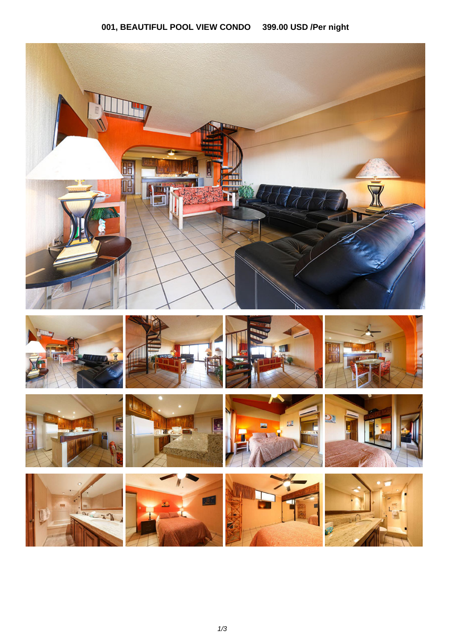## 001, BEAUTIFUL POOL VIEW CONDO 399.00 USD /Per night

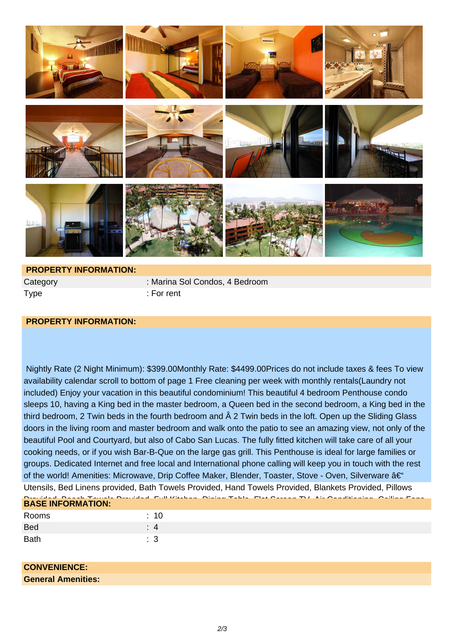

Type : For rent

Category : Marina Sol Condos, 4 Bedroom

## **PROPERTY INFORMATION:**

 Nightly Rate (2 Night Minimum): \$399.00Monthly Rate: \$4499.00Prices do not include taxes & fees To view availability calendar scroll to bottom of page 1 Free cleaning per week with monthly rentals(Laundry not included) Enjoy your vacation in this beautiful condominium! This beautiful 4 bedroom Penthouse condo sleeps 10, having a King bed in the master bedroom, a Queen bed in the second bedroom, a King bed in the third bedroom, 2 Twin beds in the fourth bedroom and  $\hat{A}$  2 Twin beds in the loft. Open up the Sliding Glass doors in the living room and master bedroom and walk onto the patio to see an amazing view, not only of the beautiful Pool and Courtyard, but also of Cabo San Lucas. The fully fitted kitchen will take care of all your cooking needs, or if you wish Bar-B-Que on the large gas grill. This Penthouse is ideal for large families or groups. Dedicated Internet and free local and International phone calling will keep you in touch with the rest of the world! Amenities: Microwave, Drip Coffee Maker, Blender, Toaster, Stove - Oven, Silverware – Utensils, Bed Linens provided, Bath Towels Provided, Hand Towels Provided, Blankets Provided, Pillows

| <b>BASE INFORMATION:</b> |  |
|--------------------------|--|
| Rooms                    |  |
| <b>Bed</b>               |  |

Bath : 3

## **CONVENIENCE:**

**General Amenities:**